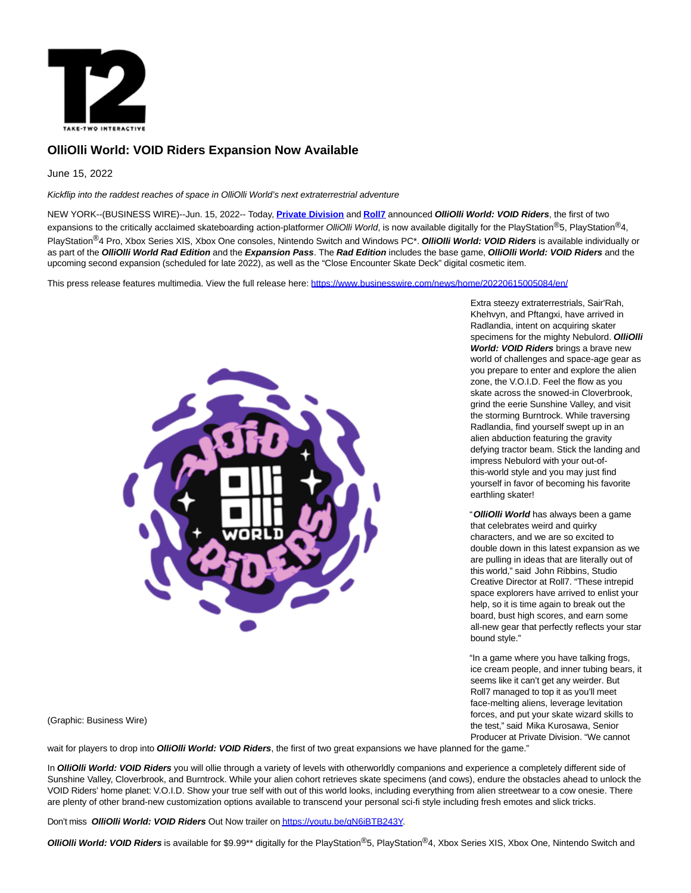

# **OlliOlli World: VOID Riders Expansion Now Available**

June 15, 2022

Kickflip into the raddest reaches of space in OlliOlli World's next extraterrestrial adventure

NEW YORK--(BUSINESS WIRE)--Jun. 15, 2022-- Today, **[Private Division](https://cts.businesswire.com/ct/CT?id=smartlink&url=https%3A%2F%2Fwww.privatedivision.com%2F&esheet=52749582&newsitemid=20220615005084&lan=en-US&anchor=Private+Division&index=1&md5=eefce5fb6da217c30ad573987e5d6ad1)** and **[Roll7](https://cts.businesswire.com/ct/CT?id=smartlink&url=https%3A%2F%2Fwww.roll7.co.uk%2F&esheet=52749582&newsitemid=20220615005084&lan=en-US&anchor=Roll7&index=2&md5=c514d898049b9f29e50dab45a9470001)** announced **OlliOlli World: VOID Riders**, the first of two expansions to the critically acclaimed skateboarding action-platformer OlliOlli World, is now available digitally for the PlayStation®5, PlayStation®4, PlayStation®4 Pro, Xbox Series XIS, Xbox One consoles, Nintendo Switch and Windows PC\*. **OlliOlli World: VOID Riders** is available individually or as part of the **OlliOlli World Rad Edition** and the **Expansion Pass**. The **Rad Edition** includes the base game, **OlliOlli World: VOID Riders** and the upcoming second expansion (scheduled for late 2022), as well as the "Close Encounter Skate Deck" digital cosmetic item.

This press release features multimedia. View the full release here:<https://www.businesswire.com/news/home/20220615005084/en/>



Extra steezy extraterrestrials, Sair'Rah, Khehvyn, and Pftangxi, have arrived in Radlandia, intent on acquiring skater specimens for the mighty Nebulord. **OlliOlli World: VOID Riders** brings a brave new world of challenges and space-age gear as you prepare to enter and explore the alien zone, the V.O.I.D. Feel the flow as you skate across the snowed-in Cloverbrook, grind the eerie Sunshine Valley, and visit the storming Burntrock. While traversing Radlandia, find yourself swept up in an alien abduction featuring the gravity defying tractor beam. Stick the landing and impress Nebulord with your out-ofthis-world style and you may just find yourself in favor of becoming his favorite earthling skater!

"**OlliOlli World** has always been a game that celebrates weird and quirky characters, and we are so excited to double down in this latest expansion as we are pulling in ideas that are literally out of this world," said John Ribbins, Studio Creative Director at Roll7. "These intrepid space explorers have arrived to enlist your help, so it is time again to break out the board, bust high scores, and earn some all-new gear that perfectly reflects your star bound style."

"In a game where you have talking frogs, ice cream people, and inner tubing bears, it seems like it can't get any weirder. But Roll7 managed to top it as you'll meet face-melting aliens, leverage levitation forces, and put your skate wizard skills to the test," said Mika Kurosawa, Senior Producer at Private Division. "We cannot

(Graphic: Business Wire)

wait for players to drop into *OlliOlli World: VOID Riders*, the first of two great expansions we have planned for the game."

In **OlliOlli World: VOID Riders** you will ollie through a variety of levels with otherworldly companions and experience a completely different side of Sunshine Valley, Cloverbrook, and Burntrock. While your alien cohort retrieves skate specimens (and cows), endure the obstacles ahead to unlock the VOID Riders' home planet: V.O.I.D. Show your true self with out of this world looks, including everything from alien streetwear to a cow onesie. There are plenty of other brand-new customization options available to transcend your personal sci-fi style including fresh emotes and slick tricks.

Don't miss **OlliOlli World: VOID Riders** Out Now trailer o[n https://youtu.be/gN6iBTB243Y.](https://cts.businesswire.com/ct/CT?id=smartlink&url=https%3A%2F%2Fyoutu.be%2FgN6iBTB243Y&esheet=52749582&newsitemid=20220615005084&lan=en-US&anchor=https%3A%2F%2Fyoutu.be%2FgN6iBTB243Y&index=3&md5=5f869a1a05b5fc6e69f9acec54a816bd)

**OlliOlli World: VOID Riders** is available for \$9.99\*\* digitally for the PlayStation®5, PlayStation®4, Xbox Series XIS, Xbox One, Nintendo Switch and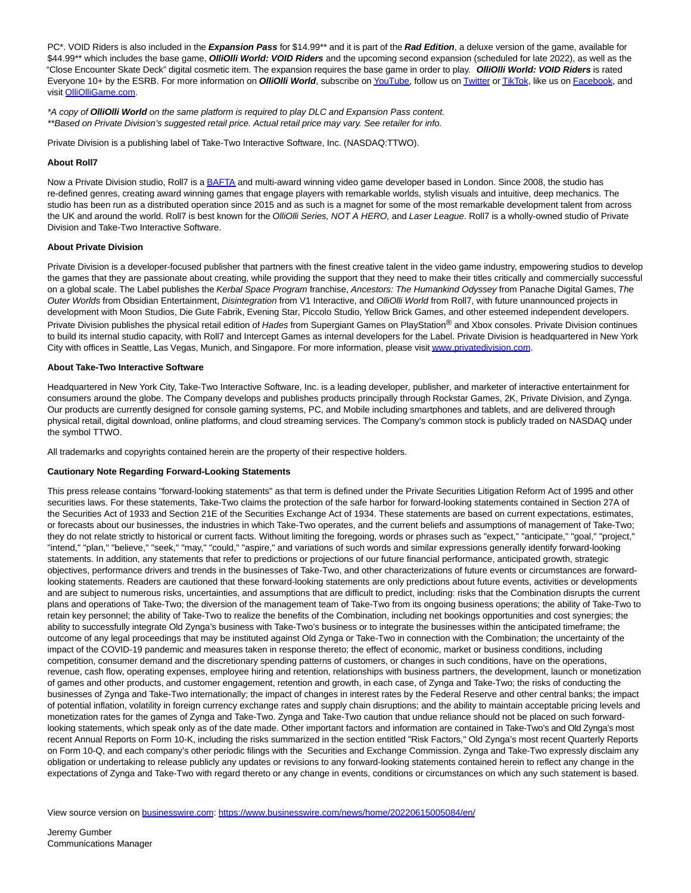PC\*. VOID Riders is also included in the **Expansion Pass** for \$14.99\*\* and it is part of the **Rad Edition**, a deluxe version of the game, available for \$44.99\*\* which includes the base game, **OlliOlli World: VOID Riders** and the upcoming second expansion (scheduled for late 2022), as well as the "Close Encounter Skate Deck" digital cosmetic item. The expansion requires the base game in order to play. **OlliOlli World: VOID Riders** is rated Everyone 10+ by the ESRB. For more information on **OlliOlli World**, subscribe o[n YouTube,](https://cts.businesswire.com/ct/CT?id=smartlink&url=https%3A%2F%2Fwww.youtube.com%2Fchannel%2FUCgcSwHteqZ37OJ-sjWAXu7w&esheet=52749582&newsitemid=20220615005084&lan=en-US&anchor=YouTube&index=4&md5=3bbe54149a55678b2cb3ad571cfed417) follow us on [Twitter o](https://cts.businesswire.com/ct/CT?id=smartlink&url=https%3A%2F%2Ftwitter.com%2FOlliOlligame&esheet=52749582&newsitemid=20220615005084&lan=en-US&anchor=Twitter&index=5&md5=981744c2fff08dfe87e5d50d542024ae)[r TikTok,](https://cts.businesswire.com/ct/CT?id=smartlink&url=https%3A%2F%2Fwww.tiktok.com%2F%40olliolligame&esheet=52749582&newsitemid=20220615005084&lan=en-US&anchor=TikTok&index=6&md5=aa7ec77045df0bd4e18f22e1016ad43a) like us on [Facebook,](https://cts.businesswire.com/ct/CT?id=smartlink&url=https%3A%2F%2Fwww.facebook.com%2FOlliOlligame%2F&esheet=52749582&newsitemid=20220615005084&lan=en-US&anchor=Facebook&index=7&md5=1856f5fd0a12c95a2682e1b61b4dbad5) and visit [OlliOlliGame.com.](https://cts.businesswire.com/ct/CT?id=smartlink&url=http%3A%2F%2Folliolligame.com%2F&esheet=52749582&newsitemid=20220615005084&lan=en-US&anchor=OlliOlliGame.com&index=8&md5=ee42b27595a2bf3bf1bdef3e12fabd13)

\*A copy of **OlliOlli World** on the same platform is required to play DLC and Expansion Pass content. \*\*Based on Private Division's suggested retail price. Actual retail price may vary. See retailer for info.

Private Division is a publishing label of Take-Two Interactive Software, Inc. (NASDAQ:TTWO).

# **About Roll7**

Now a Private Division studio, Roll7 is [a BAFTA a](https://cts.businesswire.com/ct/CT?id=smartlink&url=https%3A%2F%2Furldefense.proofpoint.com%2Fv2%2Furl%3Fu%3Dhttps-3A__www.roll7.co.uk_single-2Dpost_2015_03_16_OlliOlli-2Dwins-2DBest-2DSports-2DGame-2Dat-2Dthe-2DBAFTA-2DGames-2DAwards%26d%3DDwMFaQ%26c%3DRKDswobrOGdp5vDCbl5XjxW8HqrsRSr80dGTvu3rE9Q%26r%3DeJlhp23XwcHMt2IduQSwu6_3zqOm0cQv4oxWxwPcpbwg7836nLWYtoC5uLnY0HPC%26m%3DyzvDSXUx3E7RuRAnHNL3DoD7DN09TMWOMV2aKEKl5kk%26s%3DiW4HVg3z_BIA5Y18DnWk6QCgH-cjx_nCKC55UWIsjag%26e%3D&esheet=52749582&newsitemid=20220615005084&lan=en-US&anchor=BAFTA&index=9&md5=2fb496e80d1536874d30d07eba96d0d1)nd multi-award winning video game developer based in London. Since 2008, the studio has re-defined genres, creating award winning games that engage players with remarkable worlds, stylish visuals and intuitive, deep mechanics. The studio has been run as a distributed operation since 2015 and as such is a magnet for some of the most remarkable development talent from across the UK and around the world. Roll7 is best known for the OlliOlli Series, NOT A HERO, and Laser League. Roll7 is a wholly-owned studio of Private Division and Take-Two Interactive Software.

## **About Private Division**

Private Division is a developer-focused publisher that partners with the finest creative talent in the video game industry, empowering studios to develop the games that they are passionate about creating, while providing the support that they need to make their titles critically and commercially successful on a global scale. The Label publishes the Kerbal Space Program franchise, Ancestors: The Humankind Odyssey from Panache Digital Games, The Outer Worlds from Obsidian Entertainment, Disintegration from V1 Interactive, and OlliOlli World from Roll7, with future unannounced projects in development with Moon Studios, Die Gute Fabrik, Evening Star, Piccolo Studio, Yellow Brick Games, and other esteemed independent developers. Private Division publishes the physical retail edition of Hades from Supergiant Games on PlayStation® and Xbox consoles. Private Division continues to build its internal studio capacity, with Roll7 and Intercept Games as internal developers for the Label. Private Division is headquartered in New York City with offices in Seattle, Las Vegas, Munich, and Singapore. For more information, please visi[t www.privatedivision.com.](https://cts.businesswire.com/ct/CT?id=smartlink&url=http%3A%2F%2Fwww.privatedivision.com%2F&esheet=52749582&newsitemid=20220615005084&lan=en-US&anchor=www.privatedivision.com&index=10&md5=ff31d5a114ad727828b98d2b8bb229df)

### **About Take-Two Interactive Software**

Headquartered in New York City, Take-Two Interactive Software, Inc. is a leading developer, publisher, and marketer of interactive entertainment for consumers around the globe. The Company develops and publishes products principally through Rockstar Games, 2K, Private Division, and Zynga. Our products are currently designed for console gaming systems, PC, and Mobile including smartphones and tablets, and are delivered through physical retail, digital download, online platforms, and cloud streaming services. The Company's common stock is publicly traded on NASDAQ under the symbol TTWO.

All trademarks and copyrights contained herein are the property of their respective holders.

### **Cautionary Note Regarding Forward-Looking Statements**

This press release contains "forward-looking statements" as that term is defined under the Private Securities Litigation Reform Act of 1995 and other securities laws. For these statements, Take-Two claims the protection of the safe harbor for forward-looking statements contained in Section 27A of the Securities Act of 1933 and Section 21E of the Securities Exchange Act of 1934. These statements are based on current expectations, estimates, or forecasts about our businesses, the industries in which Take-Two operates, and the current beliefs and assumptions of management of Take-Two; they do not relate strictly to historical or current facts. Without limiting the foregoing, words or phrases such as "expect," "anticipate," "goal," "project," "intend," "plan," "believe," "seek," "may," "could," "aspire," and variations of such words and similar expressions generally identify forward-looking statements. In addition, any statements that refer to predictions or projections of our future financial performance, anticipated growth, strategic objectives, performance drivers and trends in the businesses of Take-Two, and other characterizations of future events or circumstances are forwardlooking statements. Readers are cautioned that these forward-looking statements are only predictions about future events, activities or developments and are subject to numerous risks, uncertainties, and assumptions that are difficult to predict, including: risks that the Combination disrupts the current plans and operations of Take-Two; the diversion of the management team of Take-Two from its ongoing business operations; the ability of Take-Two to retain key personnel; the ability of Take-Two to realize the benefits of the Combination, including net bookings opportunities and cost synergies; the ability to successfully integrate Old Zynga's business with Take-Two's business or to integrate the businesses within the anticipated timeframe; the outcome of any legal proceedings that may be instituted against Old Zynga or Take-Two in connection with the Combination; the uncertainty of the impact of the COVID-19 pandemic and measures taken in response thereto; the effect of economic, market or business conditions, including competition, consumer demand and the discretionary spending patterns of customers, or changes in such conditions, have on the operations, revenue, cash flow, operating expenses, employee hiring and retention, relationships with business partners, the development, launch or monetization of games and other products, and customer engagement, retention and growth, in each case, of Zynga and Take-Two; the risks of conducting the businesses of Zynga and Take-Two internationally; the impact of changes in interest rates by the Federal Reserve and other central banks; the impact of potential inflation, volatility in foreign currency exchange rates and supply chain disruptions; and the ability to maintain acceptable pricing levels and monetization rates for the games of Zynga and Take-Two. Zynga and Take-Two caution that undue reliance should not be placed on such forwardlooking statements, which speak only as of the date made. Other important factors and information are contained in Take-Two's and Old Zynga's most recent Annual Reports on Form 10-K, including the risks summarized in the section entitled "Risk Factors," Old Zynga's most recent Quarterly Reports on Form 10-Q, and each company's other periodic filings with the Securities and Exchange Commission. Zynga and Take-Two expressly disclaim any obligation or undertaking to release publicly any updates or revisions to any forward-looking statements contained herein to reflect any change in the expectations of Zynga and Take-Two with regard thereto or any change in events, conditions or circumstances on which any such statement is based.

View source version on [businesswire.com:](http://businesswire.com/)<https://www.businesswire.com/news/home/20220615005084/en/>